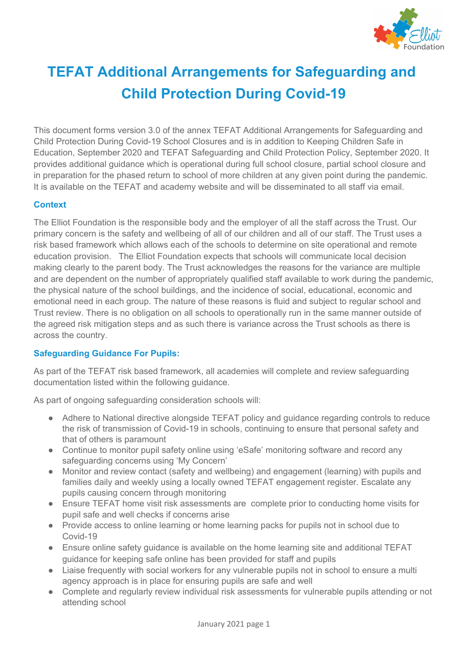

# **TEFAT Additional Arrangements for Safeguarding and Child Protection During Covid-19**

This document forms version 3.0 of the annex TEFAT Additional Arrangements for Safeguarding and Child Protection During Covid-19 School Closures and is in addition to Keeping Children Safe in Education, September 2020 and TEFAT Safeguarding and Child Protection Policy, September 2020. It provides additional guidance which is operational during full school closure, partial school closure and in preparation for the phased return to school of more children at any given point during the pandemic. It is available on the TEFAT and academy website and will be disseminated to all staff via email.

### **Context**

The Elliot Foundation is the responsible body and the employer of all the staff across the Trust. Our primary concern is the safety and wellbeing of all of our children and all of our staff. The Trust uses a risk based framework which allows each of the schools to determine on site operational and remote education provision. The Elliot Foundation expects that schools will communicate local decision making clearly to the parent body. The Trust acknowledges the reasons for the variance are multiple and are dependent on the number of appropriately qualified staff available to work during the pandemic, the physical nature of the school buildings, and the incidence of social, educational, economic and emotional need in each group. The nature of these reasons is fluid and subject to regular school and Trust review. There is no obligation on all schools to operationally run in the same manner outside of the agreed risk mitigation steps and as such there is variance across the Trust schools as there is across the country.

### **Safeguarding Guidance For Pupils:**

As part of the TEFAT risk based framework, all academies will complete and review safeguarding documentation listed within the following guidance.

As part of ongoing safeguarding consideration schools will:

- Adhere to National directive alongside TEFAT policy and guidance regarding controls to reduce the risk of transmission of Covid-19 in schools, continuing to ensure that personal safety and that of others is paramount
- Continue to monitor pupil safety online using 'eSafe' monitoring software and record any safeguarding concerns using 'My Concern'
- Monitor and review contact (safety and wellbeing) and engagement (learning) with pupils and families daily and weekly using a locally owned TEFAT engagement register. Escalate any pupils causing concern through monitoring
- Ensure TEFAT home visit risk assessments are complete prior to conducting home visits for pupil safe and well checks if concerns arise
- Provide access to online learning or home learning packs for pupils not in school due to Covid-19
- Ensure online safety guidance is available on the home learning site and additional TEFAT guidance for keeping safe online has been provided for staff and pupils
- Liaise frequently with social workers for any vulnerable pupils not in school to ensure a multi agency approach is in place for ensuring pupils are safe and well
- Complete and regularly review individual risk assessments for vulnerable pupils attending or not attending school